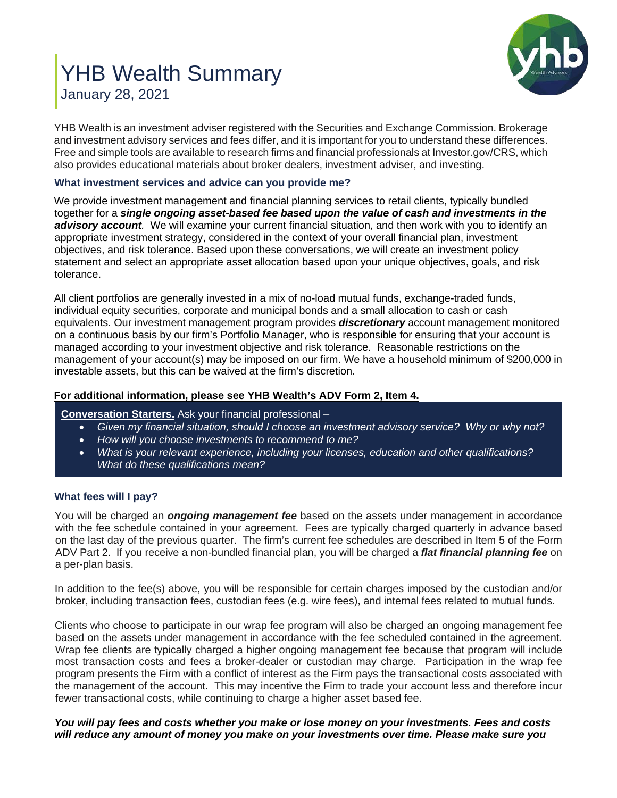# YHB Wealth Summary January 28, 2021



YHB Wealth is an investment adviser registered with the Securities and Exchange Commission. Brokerage and investment advisory services and fees differ, and it is important for you to understand these differences. Free and simple tools are available to research firms and financial professionals at Investor.gov/CRS, which also provides educational materials about broker dealers, investment adviser, and investing.

# **What investment services and advice can you provide me?**

We provide investment management and financial planning services to retail clients, typically bundled together for a *single ongoing asset-based fee based upon the value of cash and investments in the advisory account.* We will examine your current financial situation, and then work with you to identify an appropriate investment strategy, considered in the context of your overall financial plan, investment objectives, and risk tolerance. Based upon these conversations, we will create an investment policy statement and select an appropriate asset allocation based upon your unique objectives, goals, and risk tolerance.

All client portfolios are generally invested in a mix of no-load mutual funds, exchange-traded funds, individual equity securities, corporate and municipal bonds and a small allocation to cash or cash equivalents. Our investment management program provides *discretionary* account management monitored on a continuous basis by our firm's Portfolio Manager, who is responsible for ensuring that your account is managed according to your investment objective and risk tolerance. Reasonable restrictions on the management of your account(s) may be imposed on our firm. We have a household minimum of \$200,000 in investable assets, but this can be waived at the firm's discretion.

# **[For additional information, please see YHB Wealth's ADV Form 2, Item 4.](https://www.adviserinfo.sec.gov/IAPD/Content/Common/crd_iapd_Brochure.aspx?BRCHR_VRSN_ID=596354)**

# **Conversation Starters.** Ask your financial professional –

- *Given my financial situation, should I choose an investment advisory service? Why or why not?*
- *How will you choose investments to recommend to me?*
- *What is your relevant experience, including your licenses, education and other qualifications? What do these qualifications mean?*

## **What fees will I pay?**

You will be charged an *ongoing management fee* based on the assets under management in accordance with the fee schedule contained in your agreement. Fees are typically charged quarterly in advance based on the last day of the previous quarter. The firm's current fee schedules are described in Item 5 of the Form ADV Part 2. If you receive a non-bundled financial plan, you will be charged a *flat financial planning fee* on a per-plan basis.

In addition to the fee(s) above, you will be responsible for certain charges imposed by the custodian and/or broker, including transaction fees, custodian fees (e.g. wire fees), and internal fees related to mutual funds.

Clients who choose to participate in our wrap fee program will also be charged an ongoing management fee based on the assets under management in accordance with the fee scheduled contained in the agreement. Wrap fee clients are typically charged a higher ongoing management fee because that program will include most transaction costs and fees a broker-dealer or custodian may charge. Participation in the wrap fee program presents the Firm with a conflict of interest as the Firm pays the transactional costs associated with the management of the account. This may incentive the Firm to trade your account less and therefore incur fewer transactional costs, while continuing to charge a higher asset based fee.

## *You will pay fees and costs whether you make or lose money on your investments. Fees and costs will reduce any amount of money you make on your investments over time. Please make sure you*